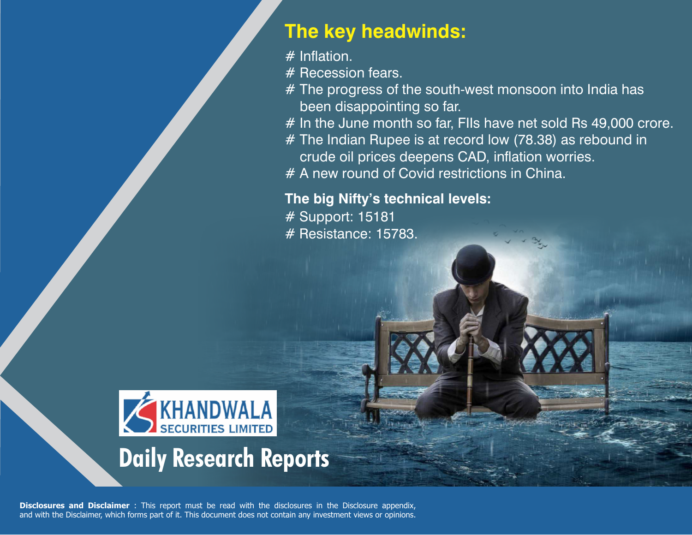## **The key headwinds:**

 $#$  Inflation.

# Recession fears.

- # The progress of the south-west monsoon into India has been disappointing so far.
- # In the June month so far, FIIs have net sold Rs 49,000 crore.
- # The Indian Rupee is at record low (78.38) as rebound in crude oil prices deepens CAD, inflation worries.
- # A new round of Covid restrictions in China.

## **The big Nifty's technical levels:**

# Support: 15181 # Resistance: 15783.



**Disclosures and Disclaimer** : This report must be read with the disclosures in the Disclosure appendix, and with the Disclaimer, which forms part of it. This document does not contain any investment views or opinions.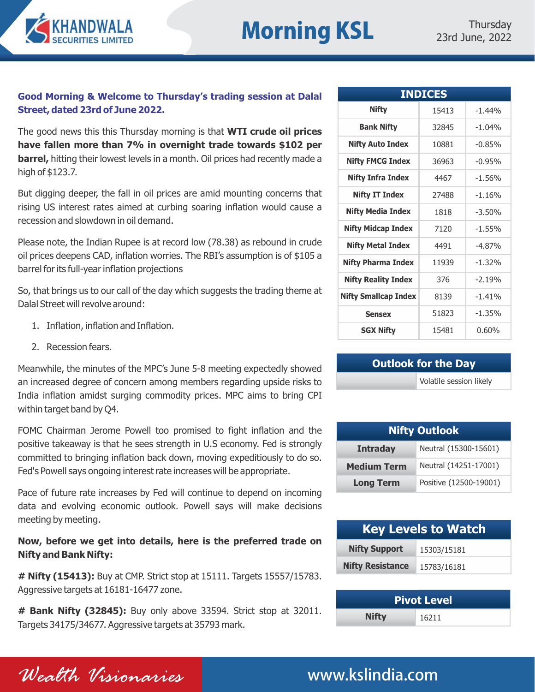

## **Morning KSL** 23rd June, 2022

## **Good Morning & Welcome to Thursday's trading session at Dalal Street, dated 23rd of June 2022.**

The good news this this Thursday morning is that **WTI crude oil prices have fallen more than 7% in overnight trade towards \$102 per barrel,** hitting their lowest levels in a month. Oil prices had recently made a high of \$123.7.

But digging deeper, the fall in oil prices are amid mounting concerns that rising US interest rates aimed at curbing soaring inflation would cause a recession and slowdown in oil demand.

Please note, the Indian Rupee is at record low (78.38) as rebound in crude oil prices deepens CAD, inflation worries. The RBI's assumption is of \$105 a barrel for its full-year inflation projections

So, that brings us to our call of the day which suggests the trading theme at Dalal Street will revolve around:

- 1. Inflation, inflation and Inflation.
- 2. Recession fears.

Meanwhile, the minutes of the MPC's June 5-8 meeting expectedly showed an increased degree of concern among members regarding upside risks to India inflation amidst surging commodity prices. MPC aims to bring CPI within target band by Q4.

FOMC Chairman Jerome Powell too promised to fight inflation and the positive takeaway is that he sees strength in U.S economy. Fed is strongly committed to bringing inflation back down, moving expeditiously to do so. Fed's Powell says ongoing interest rate increases will be appropriate.

Pace of future rate increases by Fed will continue to depend on incoming data and evolving economic outlook. Powell says will make decisions meeting by meeting.

## **Now, before we get into details, here is the preferred trade on Nifty and Bank Nifty:**

**# Nifty (15413):** Buy at CMP. Strict stop at 15111. Targets 15557/15783. Aggressive targets at 16181-16477 zone.

**# Bank Nifty (32845):** Buy only above 33594. Strict stop at 32011. Targets 34175/34677. Aggressive targets at 35793 mark.

| <b>INDICES</b>              |       |          |  |  |  |  |
|-----------------------------|-------|----------|--|--|--|--|
| <b>Nifty</b>                | 15413 | $-1.44%$ |  |  |  |  |
| <b>Bank Nifty</b>           | 32845 | $-1.04%$ |  |  |  |  |
| <b>Nifty Auto Index</b>     | 10881 | $-0.85%$ |  |  |  |  |
| <b>Nifty FMCG Index</b>     | 36963 | $-0.95%$ |  |  |  |  |
| <b>Nifty Infra Index</b>    | 4467  | $-1.56%$ |  |  |  |  |
| <b>Nifty IT Index</b>       | 27488 | $-1.16%$ |  |  |  |  |
| <b>Nifty Media Index</b>    | 1818  | $-3.50%$ |  |  |  |  |
| <b>Nifty Midcap Index</b>   | 7120  | $-1.55%$ |  |  |  |  |
| <b>Nifty Metal Index</b>    | 4491  | $-4.87%$ |  |  |  |  |
| <b>Nifty Pharma Index</b>   | 11939 | $-1.32%$ |  |  |  |  |
| <b>Nifty Reality Index</b>  | 376   | $-2.19%$ |  |  |  |  |
| <b>Nifty Smallcap Index</b> | 8139  | $-1.41%$ |  |  |  |  |
| <b>Sensex</b>               | 51823 | $-1.35%$ |  |  |  |  |
| <b>SGX Nifty</b>            | 15481 | 0.60%    |  |  |  |  |

## **Outlook for the Day**

Volatile session likely

| <b>Nifty Outlook</b> |                        |  |  |  |
|----------------------|------------------------|--|--|--|
| <b>Intraday</b>      | Neutral (15300-15601)  |  |  |  |
| <b>Medium Term</b>   | Neutral (14251-17001)  |  |  |  |
| <b>Long Term</b>     | Positive (12500-19001) |  |  |  |

| <b>Key Levels to Watch</b> |             |  |  |
|----------------------------|-------------|--|--|
| <b>Nifty Support</b>       | 15303/15181 |  |  |
| <b>Nifty Resistance</b>    | 15783/16181 |  |  |

| <b>Pivot Level</b> |       |  |  |  |  |
|--------------------|-------|--|--|--|--|
| <b>Nifty</b>       | 16211 |  |  |  |  |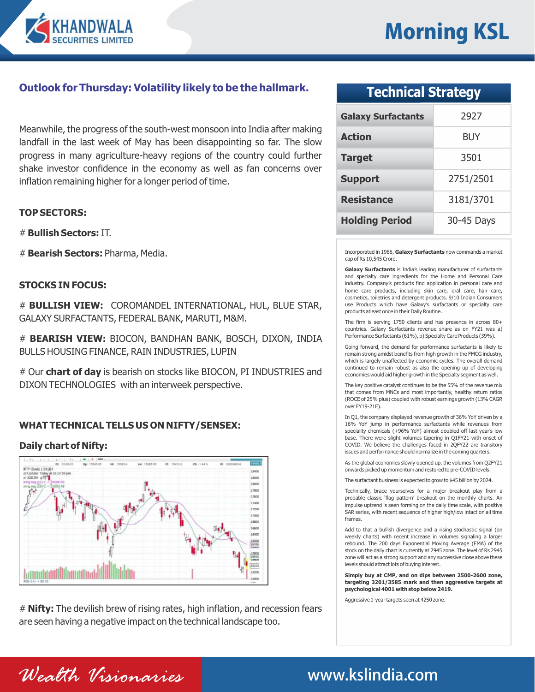

## **Outlook for Thursday: Volatility likely to be the hallmark.**

Meanwhile, the progress of the south-west monsoon into India after making landfall in the last week of May has been disappointing so far. The slow progress in many agriculture-heavy regions of the country could further shake investor confidence in the economy as well as fan concerns over inflation remaining higher for a longer period of time.

### **TOP SECTORS:**

# **Bullish Sectors:** IT.

# **Bearish Sectors:** Pharma, Media.

### **STOCKS IN FOCUS:**

# **BULLISH VIEW:** COROMANDEL INTERNATIONAL, HUL, BLUE STAR, GALAXY SURFACTANTS, FEDERAL BANK, MARUTI, M&M.

# **BEARISH VIEW:** BIOCON, BANDHAN BANK, BOSCH, DIXON, INDIA BULLS HOUSING FINANCE, RAIN INDUSTRIES, LUPIN

# Our **chart of day** is bearish on stocks like BIOCON, PI INDUSTRIES and DIXON TECHNOLOGIES with an interweek perspective.

## **WHAT TECHNICAL TELLS US ON NIFTY/SENSEX:**

### **Daily chart of Nifty:**



# **Nifty:** The devilish brew of rising rates, high inflation, and recession fears are seen having a negative impact on the technical landscape too.

## **Technical Strategy**

| <b>Galaxy Surfactants</b> | 2927       |
|---------------------------|------------|
| <b>Action</b>             | BUY        |
| <b>Target</b>             | 3501       |
| <b>Support</b>            | 2751/2501  |
| <b>Resistance</b>         | 3181/3701  |
| <b>Holding Period</b>     | 30-45 Days |

Incorporated in 1986, **Galaxy Surfactants** now commands a market cap of Rs 10,545 Crore.

**Galaxy Surfactants** is India's leading manufacturer of surfactants and specialty care ingredients for the Home and Personal Care industry. Company's products find application in personal care and home care products, including skin care, oral care, hair care, cosmetics, toiletries and detergent products. 9/10 Indian Consumers use Products which have Galaxy's surfactants or specialty care products atleast once in their Daily Routine.

The firm is serving 1750 clients and has presence in across 80+ countries. Galaxy Surfactants revenue share as on FY21 was a) Performance Surfactants (61%), b) Specialty Care Products (39%).

Going forward, the demand for performance surfactants is likely to remain strong amidst benefits from high growth in the FMCG industry, which is largely unaffected by economic cycles. The overall demand continued to remain robust as also the opening up of developing economies would aid higher growth in the Specialty segment as well.

The key positive catalyst continues to be the 55% of the revenue mix that comes from MNCs and most importantly, healthy return ratios (ROCE of 25% plus) coupled with robust earnings growth (13% CAGR over FY19-21E).

In Q1, the company displayed revenue growth of 36% YoY driven by a 16% YoY jump in performance surfactants while revenues from speciality chemicals (+96% YoY) almost doubled off last year's low base. There were slight volumes tapering in Q1FY21 with onset of COVID. We believe the challenges faced in 2QFY22 are transitory issues and performance should normalize in the coming quarters.

As the global economies slowly opened up, the volumes from Q2FY21 onwards picked up momentum and restored to pre-COVID levels.

The surfactant business is expected to grow to \$45 billion by 2024.

Technically, brace yourselves for a major breakout play from a probable classic 'flag pattern' breakout on the monthly charts. An impulse uptrend is seen forming on the daily time scale, with positive SAR series, with recent sequence of higher high/low intact on all time frames.

Add to that a bullish divergence and a rising stochastic signal (on weekly charts) with recent increase in volumes signaling a larger rebound. The 200 days Exponential Moving Average (EMA) of the stock on the daily chart is currently at 2945 zone. The level of Rs 2945 zone will act as a strong support and any successive close above these levels should attract lots of buying interest.

**Simply buy at CMP, and on dips between 2500-2600 zone, targeting 3201/3585 mark and then aggressive targets at psychological 4001 with stop below 2419.**

Aggressive 1-year targets seen at 4250 zone.

*Wealth Visionaries* www.kslindia.com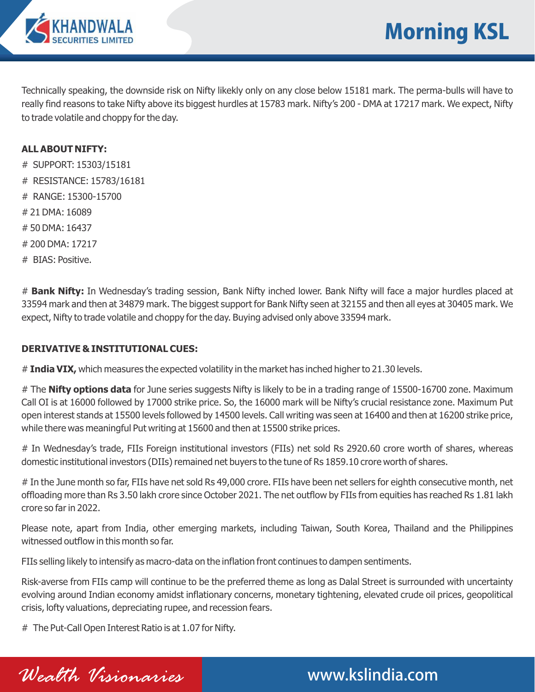

Technically speaking, the downside risk on Nifty likekly only on any close below 15181 mark. The perma-bulls will have to really find reasons to take Nifty above its biggest hurdles at 15783 mark. Nifty's 200 - DMA at 17217 mark. We expect, Nifty to trade volatile and choppy for the day.

## **ALL ABOUT NIFTY:**

- # SUPPORT: 15303/15181
- # RESISTANCE: 15783/16181
- # RANGE: 15300-15700
- # 21 DMA: 16089
- # 50 DMA: 16437
- # 200 DMA: 17217
- # BIAS: Positive.

# **Bank Nifty:** In Wednesday's trading session, Bank Nifty inched lower. Bank Nifty will face a major hurdles placed at 33594 mark and then at 34879 mark. The biggest support for Bank Nifty seen at 32155 and then all eyes at 30405 mark. We expect, Nifty to trade volatile and choppy for the day. Buying advised only above 33594 mark.

## **DERIVATIVE & INSTITUTIONAL CUES:**

# India VIX, which measures the expected volatility in the market has inched higher to 21.30 levels.

# The **Nifty options data** for June series suggests Nifty is likely to be in a trading range of 15500-16700 zone. Maximum Call OI is at 16000 followed by 17000 strike price. So, the 16000 mark will be Nifty's crucial resistance zone. Maximum Put open interest stands at 15500 levels followed by 14500 levels. Call writing was seen at 16400 and then at 16200 strike price, while there was meaningful Put writing at 15600 and then at 15500 strike prices.

# In Wednesday's trade, FIIs Foreign institutional investors (FIIs) net sold Rs 2920.60 crore worth of shares, whereas domestic institutional investors (DIIs) remained net buyers to the tune of Rs 1859.10 crore worth of shares.

# In the June month so far, FIIs have net sold Rs 49,000 crore. FIIs have been net sellers for eighth consecutive month, net offloading more than Rs 3.50 lakh crore since October 2021. The net outflow by FIIs from equities has reached Rs 1.81 lakh crore so far in 2022.

Please note, apart from India, other emerging markets, including Taiwan, South Korea, Thailand and the Philippines witnessed outflow in this month so far.

FIIs selling likely to intensify as macro-data on the inflation front continues to dampen sentiments.

Risk-averse from FIIs camp will continue to be the preferred theme as long as Dalal Street is surrounded with uncertainty evolving around Indian economy amidst inflationary concerns, monetary tightening, elevated crude oil prices, geopolitical crisis, lofty valuations, depreciating rupee, and recession fears.

# The Put-Call Open Interest Ratio is at 1.07 for Nifty.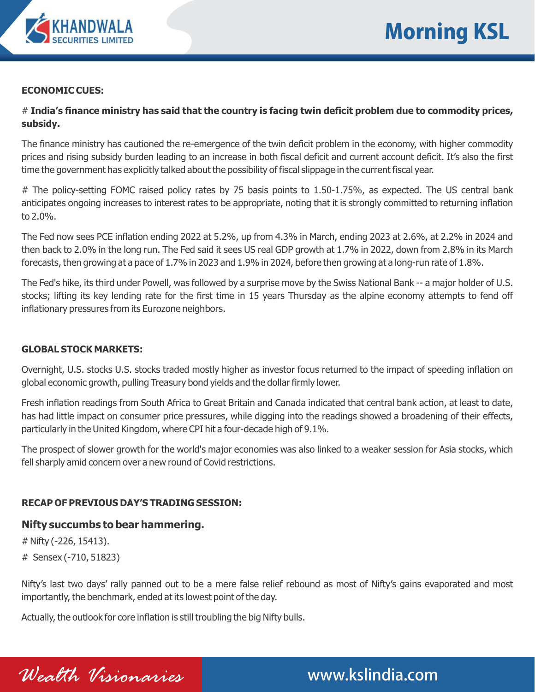

### **ECONOMIC CUES:**

# **India's finance ministry has said that the country is facing twin deficit problem due to commodity prices, subsidy.**

The finance ministry has cautioned the re-emergence of the twin deficit problem in the economy, with higher commodity prices and rising subsidy burden leading to an increase in both fiscal deficit and current account deficit. It's also the first time the government has explicitly talked about the possibility of fiscal slippage in the current fiscal year.

# The policy-setting FOMC raised policy rates by 75 basis points to 1.50-1.75%, as expected. The US central bank anticipates ongoing increases to interest rates to be appropriate, noting that it is strongly committed to returning inflation to 2.0%.

The Fed now sees PCE inflation ending 2022 at 5.2%, up from 4.3% in March, ending 2023 at 2.6%, at 2.2% in 2024 and then back to 2.0% in the long run. The Fed said it sees US real GDP growth at 1.7% in 2022, down from 2.8% in its March forecasts, then growing at a pace of 1.7% in 2023 and 1.9% in 2024, before then growing at a long-run rate of 1.8%.

The Fed's hike, its third under Powell, was followed by a surprise move by the Swiss National Bank -- a major holder of U.S. stocks; lifting its key lending rate for the first time in 15 years Thursday as the alpine economy attempts to fend off inflationary pressures from its Eurozone neighbors.

## **GLOBAL STOCK MARKETS:**

Overnight, U.S. stocks U.S. stocks traded mostly higher as investor focus returned to the impact of speeding inflation on global economic growth, pulling Treasury bond yields and the dollar firmly lower.

Fresh inflation readings from South Africa to Great Britain and Canada indicated that central bank action, at least to date, has had little impact on consumer price pressures, while digging into the readings showed a broadening of their effects, particularly in the United Kingdom, where CPI hit a four-decade high of 9.1%.

The prospect of slower growth for the world's major economies was also linked to a weaker session for Asia stocks, which fell sharply amid concern over a new round of Covid restrictions.

## **RECAP OF PREVIOUS DAY'S TRADING SESSION:**

## **Nifty succumbs to bear hammering.**

# Nifty (-226, 15413).

# Sensex (-710, 51823)

Nifty's last two days' rally panned out to be a mere false relief rebound as most of Nifty's gains evaporated and most importantly, the benchmark, ended at its lowest point of the day.

*Wealth Visionaries* www.kslindia.com

Actually, the outlook for core inflation is still troubling the big Nifty bulls.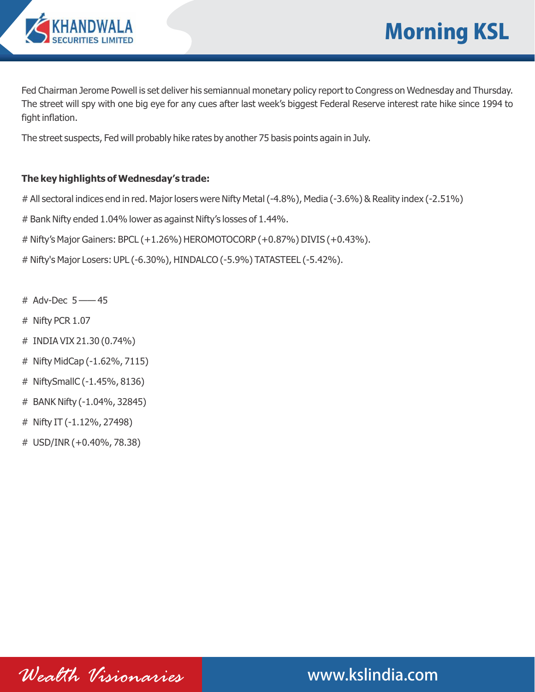

Fed Chairman Jerome Powell is set deliver his semiannual monetary policy report to Congress on Wednesday and Thursday. The street will spy with one big eye for any cues after last week's biggest Federal Reserve interest rate hike since 1994 to fight inflation.

The street suspects, Fed will probably hike rates by another 75 basis points again in July.

## **The key highlights of Wednesday's trade:**

# All sectoral indices end in red. Major losers were Nifty Metal (-4.8%), Media (-3.6%) & Reality index (-2.51%)

# Bank Nifty ended 1.04% lower as against Nifty's losses of 1.44%.

# Nifty's Major Gainers: BPCL (+1.26%) HEROMOTOCORP (+0.87%) DIVIS (+0.43%).

# Nifty's Major Losers: UPL (-6.30%), HINDALCO (-5.9%) TATASTEEL (-5.42%).

- # Adv-Dec 5 —— 45
- # Nifty PCR 1.07
- # INDIA VIX 21.30 (0.74%)
- # Nifty MidCap (-1.62%, 7115)
- # NiftySmallC (-1.45%, 8136)
- # BANK Nifty (-1.04%, 32845)
- # Nifty IT (-1.12%, 27498)
- # USD/INR (+0.40%, 78.38)

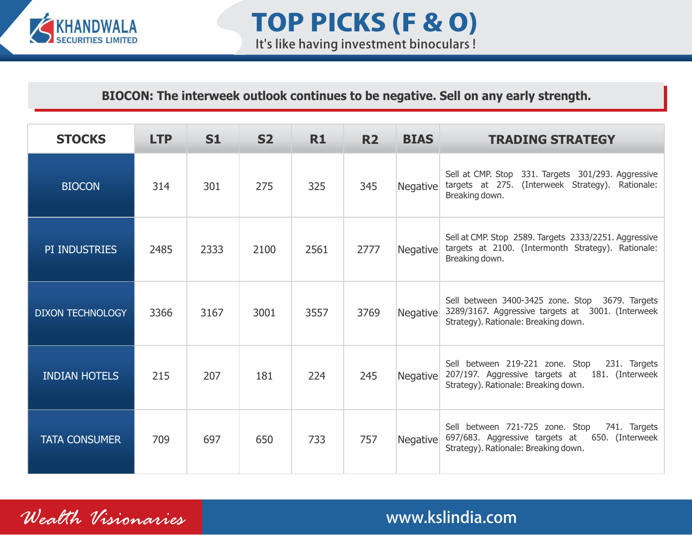

## **BIOCON: The interweek outlook continues to be negative. Sell on any early strength.**

| <b>STOCKS</b>           | <b>LTP</b> | S1   | <b>S2</b> | R1   | <b>R2</b> | <b>BIAS</b> | <b>TRADING STRATEGY</b>                                                                                                                      |
|-------------------------|------------|------|-----------|------|-----------|-------------|----------------------------------------------------------------------------------------------------------------------------------------------|
| <b>BIOCON</b>           | 314        | 301  | 275       | 325  | 345       | Negative    | Sell at CMP. Stop 331. Targets 301/293. Aggressive<br>targets at 275. (Interweek Strategy).<br>Rationale:<br>Breaking down.                  |
| PI INDUSTRIES           | 2485       | 2333 | 2100      | 2561 | 2777      | Negative    | Sell at CMP. Stop 2589. Targets 2333/2251. Aggressive<br>targets at 2100. (Intermonth Strategy). Rationale:<br>Breaking down.                |
| <b>DIXON TECHNOLOGY</b> | 3366       | 3167 | 3001      | 3557 | 3769      | Negative    | Sell between 3400-3425 zone. Stop 3679. Targets<br>3289/3167. Aggressive targets at 3001. (Interweek<br>Strategy). Rationale: Breaking down. |
| <b>INDIAN HOTELS</b>    | 215        | 207  | 181       | 224  | 245       | Negative    | Sell between 219-221 zone. Stop<br>231. Targets<br>207/197. Aggressive targets at 181. (Interweek<br>Strategy). Rationale: Breaking down.    |
| <b>TATA CONSUMER</b>    | 709        | 697  | 650       | 733  | 757       | Negative    | Sell between 721-725 zone. Stop<br>741. Targets<br>697/683. Aggressive targets at 650. (Interweek<br>Strategy). Rationale: Breaking down.    |

*Wealth Visionaries* www.kslindia.com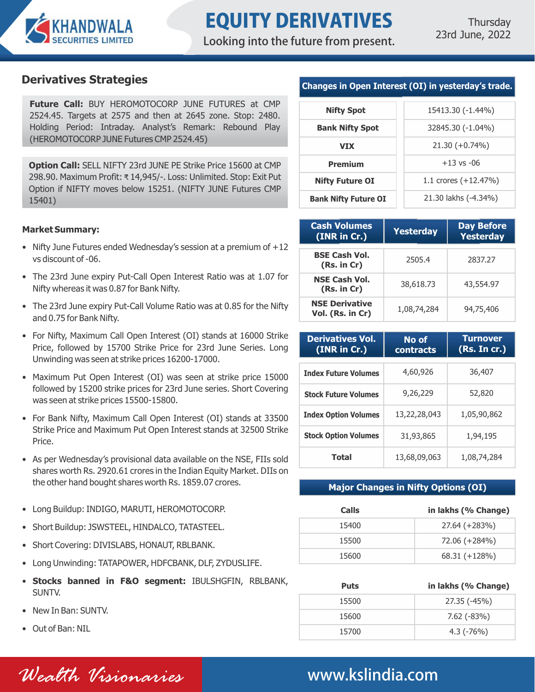

Looking into the future from present.

**Future Call:** BUY HEROMOTOCORP JUNE FUTURES at CMP 2524.45. Targets at 2575 and then at 2645 zone. Stop: 2480. Holding Period: Intraday. Analyst's Remark: Rebound Play (HEROMOTOCORP JUNE Futures CMP 2524.45)

**Option Call:** SELL NIFTY 23rd JUNE PE Strike Price 15600 at CMP 298.90. Maximum Profit: ₹ 14,945/-. Loss: Unlimited. Stop: Exit Put Option if NIFTY moves below 15251. (NIFTY JUNE Futures CMP 15401)

### **Market Summary:**

- Nifty June Futures ended Wednesday's session at a premium of +12 vs discount of -06.
- The 23rd June expiry Put-Call Open Interest Ratio was at 1.07 for Nifty whereas it was 0.87 for Bank Nifty.
- The 23rd June expiry Put-Call Volume Ratio was at 0.85 for the Nifty and 0.75 for Bank Nifty.
- For Nifty, Maximum Call Open Interest (OI) stands at 16000 Strike Price, followed by 15700 Strike Price for 23rd June Series. Long Unwinding was seen at strike prices 16200-17000.
- Maximum Put Open Interest (OI) was seen at strike price 15000 followed by 15200 strike prices for 23rd June series. Short Covering was seen at strike prices 15500-15800.
- For Bank Nifty, Maximum Call Open Interest (OI) stands at 33500 Strike Price and Maximum Put Open Interest stands at 32500 Strike Price.
- As per Wednesday's provisional data available on the NSE, FIIs sold shares worth Rs. 2920.61 crores in the Indian Equity Market. DIIs on the other hand bought shares worth Rs. 1859.07 crores.
- Long Buildup: INDIGO, MARUTI, HEROMOTOCORP.
- Short Buildup: JSWSTEEL, HINDALCO, TATASTEEL.
- Short Covering: DIVISLABS, HONAUT, RBLBANK.
- Long Unwinding: TATAPOWER, HDFCBANK, DLF, ZYDUSLIFE.
- **Stocks banned in F&O segment:** IBULSHGFIN, RBLBANK, SUNTV.
- New In Ban: SUNTV.
- Out of Ban: NIL

## **Derivatives Strategies Changes in Open Interest (OI) in yesterday's trade.**

| <b>Nifty Spot</b>           | 15413.30 (-1.44%)      |  |  |  |
|-----------------------------|------------------------|--|--|--|
| <b>Bank Nifty Spot</b>      | 32845.30 (-1.04%)      |  |  |  |
| <b>VTX</b>                  | $21.30 (+0.74%)$       |  |  |  |
| <b>Premium</b>              | $+13$ vs $-06$         |  |  |  |
| <b>Nifty Future OI</b>      | 1.1 crores $(+12.47%)$ |  |  |  |
| <b>Bank Nifty Future OI</b> | 21.30 lakhs (-4.34%)   |  |  |  |

| <b>Cash Volumes</b><br>(INR in Cr.)       | Yesterday   | <b>Day Before</b><br><b>Yesterday</b> |  |  |
|-------------------------------------------|-------------|---------------------------------------|--|--|
| <b>BSE Cash Vol.</b><br>(Rs. in Cr)       | 2505.4      | 2837.27                               |  |  |
| <b>NSE Cash Vol.</b><br>(Rs. in Cr)       | 38,618.73   | 43,554.97                             |  |  |
| <b>NSE Derivative</b><br>Vol. (Rs. in Cr) | 1,08,74,284 | 94,75,406                             |  |  |

| <b>Derivatives Vol.</b><br>(INR in Cr.) | No of<br>contracts | <b>Turnover</b><br>(Rs. Incr.) |  |  |
|-----------------------------------------|--------------------|--------------------------------|--|--|
| <b>Index Future Volumes</b>             | 4,60,926           | 36,407                         |  |  |
| <b>Stock Future Volumes</b>             | 9,26,229           | 52,820                         |  |  |
| <b>Index Option Volumes</b>             | 13,22,28,043       | 1,05,90,862                    |  |  |
| <b>Stock Option Volumes</b>             | 31,93,865          | 1,94,195                       |  |  |
| <b>Total</b>                            | 13,68,09,063       | 1,08,74,284                    |  |  |

### **Major Changes in Nifty Options (OI)**

| Calls | in lakhs (% Change) |
|-------|---------------------|
| 15400 | 27.64 (+283%)       |
| 15500 | 72.06 (+284%)       |
| 15600 | 68.31 (+128%)       |

| <b>Puts</b> | in lakhs (% Change) |
|-------------|---------------------|
| 15500       | 27.35 (-45%)        |
| 15600       | $7.62$ ( $-83\%$ )  |
| 15700       | $4.3$ ( $-76\%$ )   |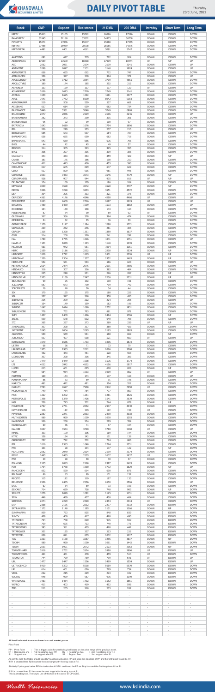

# DAILY PIVOT TABLE

Thursday<br>23rd June, 2022

*Wealth Visionaries* www.kslindia.com

### **All level indicated above are based on cash market prices.**

Pivot Point

| PP: Pivot Point    | : This is trigger point for weekly buy/sell based on the price range of the previous week. |                    |                                      |
|--------------------|--------------------------------------------------------------------------------------------|--------------------|--------------------------------------|
| R1: Resistance one | 1st Resistance over PP.                                                                    | R2 :Resistance two | $\therefore$ 2nd Resistance over R1. |
| S1: Support one    | 1st support after PP.                                                                      | S2 : Support Two   | 2nd support after S1.                |

As per the tool, the trader should take BUY position just above PP and keep the stop loss of PP and the first target would be R1. If R1 is crossed then R2 becomes the next target with the stop loss at R1.

Similarly if price goes below PP the trader should SELL and keep the PP as Stop loss and the first target would be S1.

If S1 is crossed then S2 becomes the next target with the stop loss at S1. This is a trading tool. The key to use of this tool is the use of STOP LOSS.

| <b>Stock</b>                                            | <b>CMP</b>               | <b>Support</b>                     | <b>Resistance</b>                                    | 21 DMA                                               | <b>200 DMA</b>                                       | <b>Intraday</b>                                      | <b>Short Term</b>                                    | <b>Long Term</b>                                     |
|---------------------------------------------------------|--------------------------|------------------------------------|------------------------------------------------------|------------------------------------------------------|------------------------------------------------------|------------------------------------------------------|------------------------------------------------------|------------------------------------------------------|
| <b>NIFTY</b>                                            | 15413                    | 15105                              | 15722                                                | 16086                                                | 17216                                                | <b>DOWN</b>                                          | <b>DOWN</b>                                          | <b>DOWN</b>                                          |
| <b>BANKNIFTY</b>                                        | 32845                    | 32188                              | 33502                                                | 34373                                                | 36708                                                | <b>DOWN</b>                                          | <b>DOWN</b>                                          | <b>DOWN</b>                                          |
| <b>FINNIFTY</b>                                         | 15271                    | 14966                              | 15577                                                | 15888                                                | 17465                                                | <b>DOWN</b>                                          | <b>DOWN</b>                                          | <b>DOWN</b>                                          |
| <b>NIFTYIT</b>                                          | 27488                    | 26939                              | 28038                                                | 28565                                                | 34375                                                | <b>DOWN</b>                                          | <b>DOWN</b>                                          | <b>DOWN</b>                                          |
| NIFTYMETAL                                              | 4491                     | 4401                               | 4581                                                 | 5091                                                 | 5747                                                 | <b>DOWN</b>                                          | <b>DOWN</b>                                          | <b>DOWN</b>                                          |
| AARTIIND                                                | 691                      | 677                                | 705                                                  | 722                                                  | 924                                                  | <b>DOWN</b>                                          | <b>DOWN</b>                                          | <b>DOWN</b>                                          |
| ABBOTINDIA                                              | 17959                    | 17600                              | 18318                                                | 17919                                                | 18444                                                | UP                                                   | UP                                                   | UP                                                   |
| ACC                                                     | 2062                     | 2021                               | 2104                                                 | 2139                                                 | 2241                                                 | <b>DOWN</b>                                          | <b>DOWN</b>                                          | UP                                                   |
| ADANIENT                                                | 2089                     | 2047                               | 2131                                                 | 2148                                                 | 1809                                                 | <b>DOWN</b>                                          | <b>DOWN</b>                                          | UP                                                   |
| <b>ADANIPORTS</b>                                       | 668                      | 655                                | 682                                                  | 712                                                  | 747                                                  | <b>DOWN</b>                                          | <b>DOWN</b>                                          | <b>DOWN</b>                                          |
| AMBUJACEM                                               | 358                      | 347                                | 369                                                  | 364                                                  | 371                                                  | <b>DOWN</b>                                          | <b>DOWN</b>                                          | UP                                                   |
| <b>APOLLOHOSP</b>                                       | 3788                     | 3712                               | 3864                                                 | 3719                                                 | 4565                                                 | <b>DOWN</b>                                          | <b>DOWN</b>                                          | <b>DOWN</b>                                          |
| APOLLOTYRE                                              | 180                      | 174                                | 185                                                  | 202                                                  | 212                                                  | <b>DOWN</b>                                          | <b>DOWN</b>                                          | <b>DOWN</b>                                          |
| <b>ASHOKLEY</b>                                         | 133                      | 129                                | 137                                                  | 137                                                  | 129                                                  | UP                                                   | <b>DOWN</b>                                          | UP                                                   |
| <b>ASIANPAINT</b>                                       | 2666                     | 2613                               | 2720                                                 | 2749                                                 | 3141                                                 | <b>DOWN</b>                                          | <b>DOWN</b>                                          | <b>DOWN</b>                                          |
| <b>ASTRAL</b>                                           | 1659                     | 1625                               | 1692                                                 | 1681                                                 | 2077                                                 | <b>DOWN</b>                                          | <b>DOWN</b>                                          | <b>DOWN</b>                                          |
| <b>ATUL</b>                                             | 7941                     | 7782                               | 8100                                                 | 8042                                                 | 9183                                                 | <b>DOWN</b>                                          | <b>DOWN</b>                                          | <b>DOWN</b>                                          |
| <b>AUROPHARMA</b>                                       | 519                      | 508                                | 529                                                  | 527                                                  | 661                                                  | <b>DOWN</b>                                          | <b>DOWN</b>                                          | <b>DOWN</b>                                          |
| <b>AXISBANK</b>                                         | 627                      | 614                                | 639                                                  | 662                                                  | 734                                                  | <b>DOWN</b>                                          | <b>DOWN</b>                                          | <b>DOWN</b>                                          |
| <b>BAJFINANCE</b>                                       | 5440                     | 5331                               | 5548                                                 | 5749                                                 | 6988                                                 | <b>DOWN</b>                                          | <b>DOWN</b>                                          | <b>DOWN</b>                                          |
| <b>BALKRISIND</b>                                       | 2077                     | 2036                               | 2119                                                 | 2196                                                 | 2246                                                 | <b>DOWN</b>                                          | <b>DOWN</b>                                          | UP                                                   |
| <b>BANDHANBNK</b>                                       | 282                      | 273                                | 290                                                  | 315                                                  | 301                                                  | <b>DOWN</b>                                          | <b>DOWN</b>                                          | <b>DOWN</b>                                          |
| <b>BANKBARODA</b>                                       | 95                       | 92                                 | 99                                                   | 100                                                  | 97                                                   | <b>DOWN</b>                                          | <b>DOWN</b>                                          | <b>DOWN</b>                                          |
| <b>BATAINDIA</b>                                        | 1643                     | 1610                               | 1676                                                 | 1754                                                 | 1896                                                 | <b>DOWN</b>                                          | <b>DOWN</b>                                          | <b>DOWN</b>                                          |
| <b>BEL</b>                                              | 226                      | 219                                | 233                                                  | 237                                                  | 215                                                  | <b>DOWN</b>                                          | <b>DOWN</b>                                          | UP                                                   |
| <b>BERGEPAINT</b>                                       | 585                      | 573                                | 597                                                  | 584                                                  | 727                                                  | <b>DOWN</b>                                          | <b>DOWN</b>                                          | <b>DOWN</b>                                          |
| <b>BHARATFORG</b>                                       | 638                      | 625                                | 650                                                  | 662                                                  | 718                                                  | <b>DOWN</b>                                          | <b>DOWN</b>                                          | <b>DOWN</b>                                          |
| <b>BHARTIARTL</b>                                       | 643                      | 630                                | 656                                                  | 676                                                  | 705                                                  | <b>DOWN</b>                                          | <b>DOWN</b>                                          | <b>DOWN</b>                                          |
| <b>BHEL</b>                                             | 44                       | 42                                 | 45                                                   | 49                                                   | 57                                                   | <b>DOWN</b>                                          | <b>DOWN</b>                                          | <b>DOWN</b>                                          |
| <b>BIOCON</b>                                           | 314                      | 305                                | 323                                                  | 325                                                  | 355                                                  | <b>DOWN</b>                                          | <b>DOWN</b>                                          | <b>DOWN</b>                                          |
| <b>BPCL</b>                                             | 306                      | 297                                | 315                                                  | 319                                                  | 385                                                  | <b>DOWN</b>                                          | <b>DOWN</b>                                          | <b>DOWN</b>                                          |
| <b>CADILAHC</b>                                         | 343                      | 333                                | 353                                                  | 359                                                  | 429                                                  | <b>DOWN</b>                                          | UP                                                   | UP                                                   |
| <b>CANBK</b>                                            | 181                      | 175                                | 186                                                  | 198                                                  | 210                                                  | <b>DOWN</b>                                          | <b>DOWN</b>                                          | <b>DOWN</b>                                          |
| CANFINHOME                                              | 422                      | 413                                | 430                                                  | 453                                                  | 593                                                  | <b>DOWN</b>                                          | <b>DOWN</b>                                          | <b>DOWN</b>                                          |
| <b>CHOLAFIN</b>                                         | 617                      | 605                                | 629                                                  | 647                                                  | 629                                                  | <b>DOWN</b>                                          | <b>DOWN</b>                                          | <b>DOWN</b>                                          |
| <b>CIPLA</b>                                            | 917                      | 899                                | 935                                                  | 961                                                  | 946                                                  | <b>DOWN</b>                                          | <b>DOWN</b>                                          | <b>DOWN</b>                                          |
| COFORGE                                                 | 3503                     | 3433                               | 3573                                                 | 3546                                                 | 4779                                                 | <b>DOWN</b>                                          | <b>UP</b>                                            | <b>DOWN</b>                                          |
| COROMANDEL                                              | 926                      | 907                                | 944                                                  | 935                                                  | 818                                                  | UP                                                   | UP                                                   | UP                                                   |
| <b>DELTACORP</b>                                        | 174                      | 169                                | 179                                                  | 196                                                  | 264                                                  | <b>DOWN</b>                                          | <b>DOWN</b>                                          | <b>DOWN</b>                                          |
| <b>DIVISLAB</b>                                         | 3600                     | 3528                               | 3672                                                 | 3528                                                 | 4497                                                 | <b>DOWN</b>                                          | <b>UP</b>                                            | <b>DOWN</b>                                          |
| <b>DIXON</b>                                            | 3366                     | 3298                               | 3433                                                 | 3551                                                 | 4572                                                 | <b>DOWN</b>                                          | <b>DOWN</b>                                          | <b>DOWN</b>                                          |
| <b>DLF</b>                                              | 304                      | 295                                | 313                                                  | 321                                                  | 375                                                  | <b>DOWN</b>                                          | <b>DOWN</b>                                          | <b>DOWN</b>                                          |
| <b>DRREDDY</b>                                          | 4261                     | 4176                               | 4346                                                 | 4290                                                 | 4466                                                 | UP                                                   | <b>DOWN</b>                                          | <b>UP</b>                                            |
| <b>EICHERMOT</b>                                        | 2663                     | 2609                               | 2716                                                 | 2697                                                 | 2619                                                 | UP                                                   | <b>DOWN</b>                                          | UP                                                   |
| <b>ESCORTS</b>                                          | 1480                     | 1450                               | 1509                                                 | 1573                                                 | 1682                                                 | <b>DOWN</b>                                          | <b>DOWN</b>                                          | UP                                                   |
| <b>EXIDEIND</b>                                         | 134                      | 130                                | 138                                                  | 143                                                  | 164                                                  | <b>DOWN</b>                                          | <b>DOWN</b>                                          | <b>DOWN</b>                                          |
| <b>FEDERALBNK</b>                                       | 87                       | 84                                 | 90                                                   | 89                                                   | 92                                                   | UP                                                   | <b>DOWN</b>                                          | <b>DOWN</b>                                          |
| <b>GLENMARK</b>                                         | 367                      | 356                                | 378                                                  | 384                                                  | 474                                                  | <b>DOWN</b>                                          | <b>DOWN</b>                                          | <b>DOWN</b>                                          |
| <b>GMRINFRA</b>                                         | 34                       | 32                                 | 35                                                   | 36                                                   | 39                                                   | <b>DOWN</b>                                          | <b>DOWN</b>                                          | <b>DOWN</b>                                          |
| <b>GODREJPROP</b>                                       | 1170                     | 1147                               | 1194                                                 | 1290                                                 | 1771                                                 | <b>DOWN</b>                                          | <b>DOWN</b>                                          | <b>DOWN</b>                                          |
| <b>GRANULES</b>                                         | 239                      | 232                                | 246                                                  | 261                                                  | 305                                                  | <b>DOWN</b>                                          | <b>DOWN</b>                                          | <b>DOWN</b>                                          |
| GRASIM                                                  | 1325                     | 1298                               | 1351                                                 | 1350                                                 | 1637                                                 | <b>DOWN</b>                                          | <b>DOWN</b>                                          | <b>DOWN</b>                                          |
| <b>GSPL</b>                                             | 214                      | 208                                | 220                                                  | 241                                                  | 292                                                  | <b>DOWN</b>                                          | <b>DOWN</b>                                          | <b>DOWN</b>                                          |
| <b>HAL</b>                                              | 1780                     | 1745                               | 1816                                                 | 1841                                                 | 1451                                                 | <b>DOWN</b>                                          | <b>DOWN</b>                                          | UP                                                   |
| <b>HAVELLS</b>                                          | 1101                     | 1079                               | 1123                                                 | 1140                                                 | 1278                                                 | <b>DOWN</b>                                          | <b>DOWN</b>                                          | <b>DOWN</b>                                          |
| <b>HCLTECH</b>                                          | 961                      | 942                                | 981                                                  | 1004                                                 | 1161                                                 | <b>DOWN</b>                                          | <b>DOWN</b>                                          | <b>DOWN</b>                                          |
| <b>HDFC</b>                                             | 2159                     | 2116                               | 2202                                                 | 2218                                                 | 2534                                                 | <b>DOWN</b>                                          | UP                                                   | <b>DOWN</b>                                          |
| <b>HDFCAMC</b>                                          | 1829                     | 1792                               | 1865                                                 | 1831                                                 | 2376                                                 | UP                                                   | <b>UP</b>                                            | <b>DOWN</b>                                          |
| <b>HDFCBANK</b>                                         | 1330<br>552              | 1304                               | 1357                                                 | 1352                                                 | 1483                                                 | <b>DOWN</b>                                          | UP                                                   | <b>DOWN</b>                                          |
| <b>HDFCLIFE</b><br><b>HEROMOTOCO</b><br><b>HINDALCO</b> | 2524<br>316              | 541<br>2474<br>307                 | 563<br>2575<br>326                                   | 586<br>2601<br>382                                   | 628<br>2586<br>484                                   | <b>DOWN</b><br><b>DOWN</b><br><b>DOWN</b>            | <b>DOWN</b><br><b>DOWN</b><br><b>DOWN</b>            | UP<br><b>DOWN</b><br><b>DOWN</b>                     |
| <b>HINDPETRO</b>                                        | 225                      | 218                                | 231                                                  | 226                                                  | 287                                                  | <b>DOWN</b>                                          | UP                                                   | <b>DOWN</b>                                          |
| <b>HINDUNILVR</b>                                       | 2203                     | 2159                               | 2247                                                 | 2236                                                 | 2331                                                 | <b>DOWN</b>                                          | UP                                                   | UP                                                   |
| <b>IBULHSGFIN</b>                                       | 99                       | 95                                 | 102                                                  | 110                                                  | 191                                                  | <b>DOWN</b>                                          | <b>DOWN</b>                                          | <b>DOWN</b>                                          |
| ICICIBANK                                               | 687                      | 673                                | 700                                                  | 719                                                  | 742                                                  | <b>DOWN</b>                                          | <b>DOWN</b>                                          | <b>DOWN</b>                                          |
| <b>IDFCFIRSTB</b>                                       | 29                       | 28                                 | 30                                                   | 34                                                   | 44                                                   | <b>DOWN</b>                                          | <b>DOWN</b>                                          | <b>DOWN</b>                                          |
| IEX                                                     | 170                      | 165                                | 175                                                  | 180                                                  | 226                                                  | <b>DOWN</b>                                          | <b>DOWN</b>                                          | <b>DOWN</b>                                          |
| IGL                                                     | 357                      | 347                                | 368                                                  | 358                                                  | 435                                                  | <b>DOWN</b>                                          | <b>DOWN</b>                                          | <b>DOWN</b>                                          |
| <b>INDHOTEL</b>                                         | 215                      | 209                                | 222                                                  | 224                                                  | 206                                                  | <b>DOWN</b>                                          | <b>DOWN</b>                                          | UP                                                   |
| <b>INDIACEM</b>                                         | 154                      | 149                                | 159                                                  | 162                                                  | 198                                                  | <b>DOWN</b>                                          | <b>DOWN</b>                                          | <b>DOWN</b>                                          |
| <b>INDIGO</b>                                           | 1647                     | 1614                               | 1680                                                 | 1752                                                 | 1951                                                 | <b>DOWN</b>                                          | <b>DOWN</b>                                          | <b>DOWN</b>                                          |
| <b>INDUSINDBK</b>                                       | 778                      | 762                                | 793                                                  | 881                                                  | 971                                                  | <b>DOWN</b>                                          | <b>DOWN</b>                                          | <b>DOWN</b>                                          |
| <b>INFY</b>                                             | 1437                     | 1409                               | 1466                                                 | 1464                                                 | 1706                                                 | <b>DOWN</b>                                          | UP                                                   | <b>DOWN</b>                                          |
| <b>IRCTC</b>                                            | 590                      | 578                                | 602                                                  | 640                                                  | 788                                                  | <b>DOWN</b>                                          | <b>DOWN</b>                                          | <b>DOWN</b>                                          |
| ITC                                                     | 265                      | 257                                | 273                                                  | 269                                                  | 239                                                  | UP                                                   | UP                                                   | UP                                                   |
| <b>JINDALSTEL</b>                                       | 307                      | 298                                | 317                                                  | 360                                                  | 423                                                  | <b>DOWN</b>                                          | <b>DOWN</b>                                          | <b>DOWN</b>                                          |
| <b>JKCEMENT</b>                                         | 2045                     | 2004                               | 2085                                                 | 2185                                                 | 2985                                                 | <b>DOWN</b>                                          | <b>DOWN</b>                                          | <b>DOWN</b>                                          |
| <b>JSWSTEEL</b>                                         | 550                      | 539                                | 561                                                  | 560                                                  | 659                                                  | <b>DOWN</b>                                          | UP                                                   | <b>DOWN</b>                                          |
| <b>JUBLFOOD</b>                                         | 507                      | 497                                | 518                                                  | 521                                                  | 660                                                  | UP                                                   | <b>DOWN</b>                                          | UP                                                   |
| <b>KOTAKBANK</b>                                        | 1670                     | 1636                               | 1703                                                 | 1806                                                 | 1873                                                 | <b>DOWN</b>                                          | <b>DOWN</b>                                          | <b>DOWN</b>                                          |
| L&TFH                                                   | 68                       | 66                                 | 71                                                   | 73                                                   | 79                                                   | <b>DOWN</b>                                          | <b>DOWN</b>                                          | <b>DOWN</b>                                          |
| <b>LALPATHLAB</b>                                       | 1973                     | 1933                               | 2012                                                 | 2066                                                 | 3080                                                 | <b>DOWN</b>                                          | <b>DOWN</b>                                          | <b>DOWN</b>                                          |
| <b>LAURUSLABS</b>                                       | 452                      | 443                                | 461                                                  | 528                                                  | 553                                                  | <b>DOWN</b>                                          | <b>DOWN</b>                                          | <b>DOWN</b>                                          |
| <b>LICHSGFIN</b>                                        | 307                      | 298                                | 316                                                  | 345                                                  | 383                                                  | <b>DOWN</b>                                          | <b>DOWN</b>                                          | <b>DOWN</b>                                          |
| LT.                                                     | 1479                     | 1449                               | 1508                                                 | 1576                                                 | 1774                                                 | <b>DOWN</b>                                          | <b>DOWN</b>                                          | <b>DOWN</b>                                          |
| <b>LTI</b>                                              | 4022                     | 3942                               | 4102                                                 | 4156                                                 | 5917                                                 | <b>DOWN</b>                                          | <b>DOWN</b>                                          | <b>DOWN</b>                                          |
| <b>LUPIN</b>                                            | 613                      | 601                                | 625                                                  | 610                                                  | 828                                                  | <b>DOWN</b>                                          | UP                                                   | <b>DOWN</b>                                          |
| M&M                                                     | 984                      | 964                                | 1003                                                 | 1009                                                 | 862                                                  | UP                                                   | <b>DOWN</b>                                          | UP                                                   |
| M&MFIN                                                  | 169                      | 164                                | 174                                                  | 177                                                  | 168                                                  | <b>DOWN</b>                                          | <b>DOWN</b>                                          | UP                                                   |
| MANAPPURAM                                              | 86                       | 83                                 | 89                                                   | 91                                                   | 146                                                  | <b>DOWN</b>                                          | <b>DOWN</b>                                          | <b>DOWN</b>                                          |
| MARICO                                                  | 481                      | 472                                | 491                                                  | 504                                                  | 522                                                  | <b>DOWN</b>                                          | <b>DOWN</b>                                          | <b>DOWN</b>                                          |
| <b>MARUTI</b>                                           | 7783                     | 7627                               | 7938                                                 | 7842                                                 | 7650                                                 | UP                                                   | <b>DOWN</b>                                          | <b>DOWN</b>                                          |
| MCDOWELL-N                                              | 749                      | 734                                | 764                                                  | 777                                                  | 860                                                  | <b>DOWN</b>                                          | <b>DOWN</b>                                          | <b>DOWN</b>                                          |
| <b>MCX</b>                                              | 1227                     | 1202                               | 1251                                                 | 1281                                                 | 1525                                                 | <b>DOWN</b>                                          | <b>DOWN</b>                                          | <b>DOWN</b>                                          |
| <b>METROPOLIS</b>                                       | 1398                     | 1370                               | 1426                                                 | 1541                                                 | 2539                                                 | <b>DOWN</b>                                          | <b>DOWN</b>                                          | <b>DOWN</b>                                          |
| <b>MGL</b>                                              | 738                      | 723                                | 752                                                  | 744                                                  | 879                                                  | <b>DOWN</b>                                          | UP                                                   | <b>DOWN</b>                                          |
| MINDTREE                                                | 2797                     | 2741                               | 2852                                                 | 2937                                                 | 4040                                                 | <b>DOWN</b>                                          | <b>DOWN</b>                                          | <b>DOWN</b>                                          |
| <b>MOTHERSUMI</b>                                       | 116                      | 112                                | 119                                                  | 122                                                  | 159                                                  | UP                                                   | <b>DOWN</b>                                          | <b>DOWN</b>                                          |
| <b>MPHASIS</b>                                          | 2287                     | 2241                               | 2333                                                 | 2430                                                 | 3038                                                 | <b>DOWN</b>                                          | <b>DOWN</b>                                          | <b>DOWN</b>                                          |
| <b>MUTHOOTFIN</b>                                       | 989                      | 969                                | 1009                                                 | 1070                                                 | 1393                                                 | <b>DOWN</b>                                          | <b>DOWN</b>                                          | <b>DOWN</b>                                          |
| NAM-INDIA                                               | 266                      | 258                                | 274                                                  | 279                                                  | 354                                                  | <b>DOWN</b>                                          | <b>DOWN</b>                                          | <b>DOWN</b>                                          |
| NATIONALUM                                              | 69                       | 66                                 | 71                                                   | 87                                                   | 104                                                  | <b>DOWN</b>                                          | <b>DOWN</b>                                          | <b>DOWN</b>                                          |
| <b>NAUKRI</b>                                           | 3647                     | 3574                               | 3720                                                 | 3710                                                 | 5160                                                 | UP                                                   | <b>DOWN</b>                                          | <b>UP</b>                                            |
| <b>NMDC</b>                                             | 103                      | 100                                | 106                                                  | 119                                                  | 144                                                  | <b>DOWN</b>                                          | <b>DOWN</b>                                          | <b>DOWN</b>                                          |
| <b>NTPC</b>                                             | 138                      | 134                                | 142                                                  | 151                                                  | 138                                                  | <b>DOWN</b>                                          | <b>DOWN</b>                                          | <b>DOWN</b>                                          |
| <b>OBEROIRLTY</b>                                       | 757                      | 742                                | 772                                                  | 774                                                  | 886                                                  | <b>DOWN</b>                                          | <b>DOWN</b>                                          | <b>DOWN</b>                                          |
| PEL                                                     | 1616                     | 1583                               | 1648                                                 | 1724                                                 | 2351                                                 | <b>DOWN</b>                                          | <b>DOWN</b>                                          | <b>DOWN</b>                                          |
| PFC                                                     | 101                      | 98                                 | 104                                                  | 107                                                  | 122                                                  | <b>DOWN</b>                                          | UP                                                   | <b>DOWN</b>                                          |
| PIDILITIND                                              | 2082                     | 2040                               | 2124                                                 | 2139                                                 | 2374                                                 | <b>DOWN</b>                                          | <b>DOWN</b>                                          | <b>DOWN</b>                                          |
| PIIND                                                   | 2485                     | 2435                               | 2535                                                 | 2607                                                 | 2837                                                 | UP                                                   | <b>DOWN</b>                                          | <b>DOWN</b>                                          |
| <b>PNB</b>                                              | 29                       | 28                                 | 30                                                   | 30                                                   | 37                                                   | <b>DOWN</b>                                          | <b>DOWN</b>                                          | <b>DOWN</b>                                          |
| <b>POLYCAB</b>                                          | 2125                     | 2083                               | 2168                                                 | 2317                                                 | 2423                                                 | <b>DOWN</b>                                          | <b>DOWN</b>                                          | <b>DOWN</b>                                          |
| <b>PVR</b>                                              | 1794                     | 1758                               | 1830                                                 | 1772                                                 | 1629                                                 | <b>DOWN</b>                                          | UP                                                   | UP                                                   |
| <b>RAMCOCEM</b>                                         | 602                      | 590                                | 614                                                  | 630                                                  | 876                                                  | <b>DOWN</b>                                          | <b>DOWN</b>                                          | <b>DOWN</b>                                          |
| <b>RBLBANK</b>                                          | 86<br>115                | 83                                 | 89<br>119                                            | 101                                                  | 152                                                  | <b>DOWN</b><br><b>DOWN</b>                           | <b>DOWN</b>                                          | <b>DOWN</b>                                          |
| <b>RECLTD</b><br><b>RELIANCE</b>                        | 2506                     | 112<br>2455                        | 2556                                                 | 117<br>2650                                          | 135<br>2506                                          | <b>DOWN</b>                                          | <b>DOWN</b><br><b>DOWN</b>                           | <b>DOWN</b><br>UP                                    |
| SAIL                                                    | 67                       | 64                                 | 69                                                   | 73                                                   | 103                                                  | <b>DOWN</b>                                          | <b>DOWN</b>                                          | <b>DOWN</b>                                          |
| SBICARD                                                 | 714                      | 699                                | 728                                                  | 748                                                  | 905                                                  | <b>DOWN</b>                                          | UP                                                   | <b>DOWN</b>                                          |
| SBILIFE                                                 | 1070                     | 1049                               | 1092                                                 | 1125                                                 | 1151                                                 | <b>DOWN</b>                                          | <b>DOWN</b>                                          | <b>DOWN</b>                                          |
| <b>SBIN</b>                                             | 448                      | 439                                | 457                                                  | 458                                                  | 484                                                  | <b>DOWN</b>                                          | <b>DOWN</b>                                          | <b>DOWN</b>                                          |
| <b>SIEMENS</b>                                          | 2274                     | 2229                               | 2320                                                 | 2364                                                 | 2314                                                 | UP                                                   | <b>DOWN</b>                                          | <b>DOWN</b>                                          |
| <b>SRF</b>                                              | 2168                     | 2125                               | 2212                                                 | 2297                                                 | 2332                                                 | <b>DOWN</b>                                          | <b>DOWN</b>                                          | <b>DOWN</b>                                          |
| <b>SRTRANSFIN</b>                                       | 1172                     | 1148                               | 1195                                                 | 1161                                                 | 1266                                                 | <b>DOWN</b>                                          | UP                                                   | <b>DOWN</b>                                          |
| <b>SUNPHARMA</b>                                        | 809                      | 793                                | 825                                                  | 848                                                  | 839                                                  | <b>DOWN</b>                                          | <b>DOWN</b>                                          | <b>DOWN</b>                                          |
| <b>SUNTV</b>                                            | 409                      | 400                                | 417                                                  | 428                                                  | 495                                                  | <b>DOWN</b>                                          | <b>DOWN</b>                                          | <b>DOWN</b>                                          |
| <b>TATACHEM</b>                                         | 794                      | 778                                | 810                                                  | 905                                                  | 929                                                  | <b>DOWN</b>                                          | <b>DOWN</b>                                          | <b>DOWN</b>                                          |
| <b>TATACONSUM</b>                                       | 709                      | 695                                | 723                                                  | 740                                                  | 771                                                  | <b>DOWN</b>                                          | <b>DOWN</b>                                          | <b>DOWN</b>                                          |
| <b>TATAMOTORS</b>                                       | 393                      | 381                                | 405                                                  | 420                                                  | 442                                                  | <b>DOWN</b>                                          | <b>DOWN</b>                                          | <b>DOWN</b>                                          |
| <b>TATAPOWER</b>                                        | 201                      | 195                                | 207                                                  | 223                                                  | 222                                                  | <b>DOWN</b>                                          | <b>DOWN</b>                                          | <b>DOWN</b>                                          |
| <b>TATASTEEL</b>                                        | 838                      | 821                                | 855                                                  | 1002                                                 | 1217                                                 | <b>DOWN</b>                                          | <b>DOWN</b>                                          | <b>DOWN</b>                                          |
| <b>TCS</b>                                              | 3223                     | 3158                               | 3287                                                 | 3286                                                 | 3617                                                 | <b>DOWN</b>                                          | UP                                                   | <b>DOWN</b>                                          |
| <b>TECHM</b>                                            | 980                      | 960                                | 1000                                                 | 1081                                                 | 1442                                                 | <b>DOWN</b>                                          | <b>DOWN</b>                                          | <b>DOWN</b>                                          |
| <b>TITAN</b>                                            | 2031                     | 1991                               | 2072                                                 | 2123                                                 | 2363                                                 | <b>DOWN</b>                                          | UP                                                   | <b>DOWN</b>                                          |
| <b>TORNTPHARM</b>                                       | 2818                     | 2762                               | 2874                                                 | 2818                                                 | 2896                                                 | UP                                                   | <b>DOWN</b>                                          | UP                                                   |
| <b>TORNTPOWER</b>                                       | 461                      | 451                                | 470                                                  | 459                                                  | 510                                                  | UP                                                   | <b>DOWN</b>                                          | <b>DOWN</b>                                          |
| <b>TVSMOTOR</b>                                         | 744                      | 729                                | 759                                                  | 739                                                  | 641                                                  | UP                                                   | <b>DOWN</b>                                          | UP                                                   |
| <b>UBL</b>                                              | 1477                     | 1447                               | 1506                                                 | 1489                                                 | 1554                                                 | <b>DOWN</b>                                          | <b>DOWN</b>                                          | <b>UP</b>                                            |
| <b>ULTRACEMCO</b>                                       | 5410                     | 5302                               | 5518                                                 | 5619                                                 | 6970                                                 | <b>DOWN</b>                                          | <b>DOWN</b>                                          | <b>DOWN</b>                                          |
| <b>UPL</b>                                              | 614                      | 601                                | 626                                                  | 729                                                  | 754                                                  | <b>DOWN</b>                                          | <b>DOWN</b>                                          | <b>DOWN</b>                                          |
| <b>VEDL</b>                                             | 222                      | 215                                | 229                                                  | 293                                                  | 342                                                  | <b>DOWN</b>                                          | <b>DOWN</b>                                          | <b>DOWN</b>                                          |
| <b>VOLTAS</b>                                           | 948                      | 929                                | 967                                                  | 996                                                  | 1190                                                 | <b>DOWN</b>                                          | <b>DOWN</b>                                          | <b>DOWN</b>                                          |
| WHIRLPOOL                                               | 1463                     | 1434                               | 1492                                                 | 1552                                                 | 1861                                                 | <b>DOWN</b>                                          | <b>DOWN</b>                                          | <b>DOWN</b>                                          |
| <b>WIPRO</b>                                            | 411                      | 403                                | 419                                                  | 452                                                  | 596                                                  | <b>DOWN</b>                                          | <b>DOWN</b>                                          | <b>DOWN</b>                                          |
| ZEEL                                                    | 211                      | 205<br>$\overline{\phantom{a}}$    | 218<br>$\overline{\phantom{a}}$                      | 233<br>$\overline{\phantom{a}}$                      | 282<br>$\overline{\phantom{a}}$                      | <b>DOWN</b><br>$\overline{\phantom{a}}$              | <b>DOWN</b><br>$\overline{\phantom{a}}$              | <b>DOWN</b><br>$\overline{\phantom{a}}$              |
|                                                         | $\overline{\phantom{a}}$ | $\overline{\phantom{a}}$           | $\overline{\phantom{a}}$<br>$\overline{\phantom{a}}$ | $\overline{\phantom{a}}$<br>$\overline{\phantom{a}}$ | $\overline{\phantom{a}}$<br>$\overline{\phantom{0}}$ | $\overline{\phantom{a}}$<br>$\overline{\phantom{a}}$ | $\overline{\phantom{a}}$<br>$\overline{\phantom{a}}$ | $\overline{\phantom{a}}$<br>$\overline{\phantom{a}}$ |
|                                                         | $\sim$                   | $\overline{\phantom{a}}$           | $\overline{\phantom{m}}$<br>$\sim$                   | $\overline{\phantom{a}}$<br>$\overline{\phantom{a}}$ | $\overline{\phantom{a}}$<br>$\overline{\phantom{a}}$ | $\sim$                                               | $\overline{\phantom{a}}$                             | $\overline{\phantom{a}}$                             |
|                                                         |                          |                                    | $\overline{\phantom{a}}$                             | $\overline{\phantom{a}}$                             | $\overline{\phantom{0}}$<br>$\overline{\phantom{a}}$ | $\overline{\phantom{a}}$                             | $\overline{\phantom{a}}$                             | $\overline{\phantom{a}}$<br>$\sim$                   |
|                                                         | $\overline{\phantom{a}}$ | $\sim$<br>$\overline{\phantom{a}}$ | $\overline{\phantom{a}}$<br>$\overline{\phantom{a}}$ | $\overline{\phantom{a}}$<br>$\overline{\phantom{a}}$ | $\overline{\phantom{a}}$                             | $\overline{\phantom{a}}$<br>$\overline{\phantom{a}}$ | $\sim$<br>$\overline{\phantom{a}}$                   | $\overline{\phantom{a}}$                             |
|                                                         |                          |                                    | $\overline{\phantom{a}}$<br>$\overline{\phantom{m}}$ | $\overline{\phantom{a}}$<br>$\overline{\phantom{a}}$ | $\overline{\phantom{0}}$<br>$\overline{\phantom{a}}$ | $\overline{\phantom{a}}$                             | $\overline{\phantom{a}}$                             | $\overline{\phantom{a}}$                             |
|                                                         |                          | $\sim$                             | $\overline{\phantom{a}}$                             | $\sim$                                               | $\overline{\phantom{a}}$                             | $\sim$                                               | $\overline{\phantom{a}}$                             | $\sim$                                               |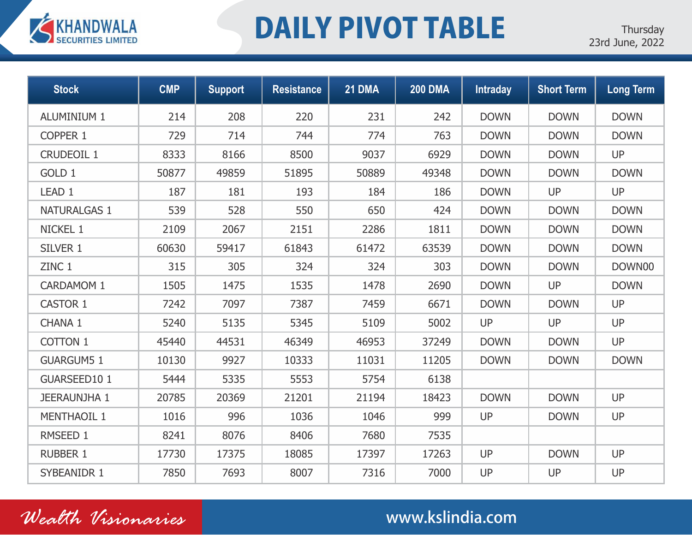

# DAILY PIVOT TABLE

| <b>Stock</b>        | <b>CMP</b> | <b>Support</b> | <b>Resistance</b> | <b>21 DMA</b> | <b>200 DMA</b> | <b>Intraday</b> | <b>Short Term</b> | <b>Long Term</b> |
|---------------------|------------|----------------|-------------------|---------------|----------------|-----------------|-------------------|------------------|
| <b>ALUMINIUM 1</b>  | 214        | 208            | 220               | 231           | 242            | <b>DOWN</b>     | <b>DOWN</b>       | <b>DOWN</b>      |
| <b>COPPER 1</b>     | 729        | 714            | 744               | 774           | 763            | <b>DOWN</b>     | <b>DOWN</b>       | <b>DOWN</b>      |
| <b>CRUDEOIL 1</b>   | 8333       | 8166           | 8500              | 9037          | 6929           | <b>DOWN</b>     | <b>DOWN</b>       | <b>UP</b>        |
| GOLD 1              | 50877      | 49859          | 51895             | 50889         | 49348          | <b>DOWN</b>     | <b>DOWN</b>       | <b>DOWN</b>      |
| LEAD <sub>1</sub>   | 187        | 181            | 193               | 184           | 186            | <b>DOWN</b>     | UP                | <b>UP</b>        |
| <b>NATURALGAS 1</b> | 539        | 528            | 550               | 650           | 424            | <b>DOWN</b>     | <b>DOWN</b>       | <b>DOWN</b>      |
| NICKEL 1            | 2109       | 2067           | 2151              | 2286          | 1811           | <b>DOWN</b>     | <b>DOWN</b>       | <b>DOWN</b>      |
| SILVER 1            | 60630      | 59417          | 61843             | 61472         | 63539          | <b>DOWN</b>     | <b>DOWN</b>       | <b>DOWN</b>      |
| ZINC 1              | 315        | 305            | 324               | 324           | 303            | <b>DOWN</b>     | <b>DOWN</b>       | DOWN00           |
| <b>CARDAMOM 1</b>   | 1505       | 1475           | 1535              | 1478          | 2690           | <b>DOWN</b>     | UP                | <b>DOWN</b>      |
| <b>CASTOR 1</b>     | 7242       | 7097           | 7387              | 7459          | 6671           | <b>DOWN</b>     | <b>DOWN</b>       | <b>UP</b>        |
| CHANA 1             | 5240       | 5135           | 5345              | 5109          | 5002           | UP              | UP                | <b>UP</b>        |
| <b>COTTON 1</b>     | 45440      | 44531          | 46349             | 46953         | 37249          | <b>DOWN</b>     | <b>DOWN</b>       | <b>UP</b>        |
| <b>GUARGUM5 1</b>   | 10130      | 9927           | 10333             | 11031         | 11205          | <b>DOWN</b>     | <b>DOWN</b>       | <b>DOWN</b>      |
| GUARSEED101         | 5444       | 5335           | 5553              | 5754          | 6138           |                 |                   |                  |
| <b>JEERAUNJHA 1</b> | 20785      | 20369          | 21201             | 21194         | 18423          | <b>DOWN</b>     | <b>DOWN</b>       | <b>UP</b>        |
| <b>MENTHAOIL 1</b>  | 1016       | 996            | 1036              | 1046          | 999            | <b>UP</b>       | <b>DOWN</b>       | <b>UP</b>        |
| RMSEED 1            | 8241       | 8076           | 8406              | 7680          | 7535           |                 |                   |                  |
| <b>RUBBER 1</b>     | 17730      | 17375          | 18085             | 17397         | 17263          | <b>UP</b>       | <b>DOWN</b>       | <b>UP</b>        |
| <b>SYBEANIDR 1</b>  | 7850       | 7693           | 8007              | 7316          | 7000           | UP              | UP                | <b>UP</b>        |

*Wealth Visionaries* www.kslindia.com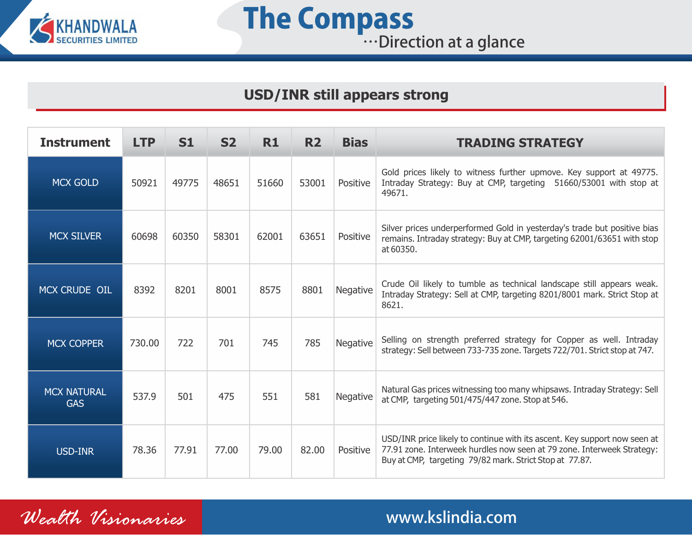

## **The Compass Example 2018** W.Direction at a glance

## **USD/INR still appears strong**

| <b>Instrument</b>                | <b>LTP</b> | <b>S1</b> | <b>S2</b> | R1    | <b>R2</b> | <b>Bias</b>     | <b>TRADING STRATEGY</b>                                                                                                                                                                                        |
|----------------------------------|------------|-----------|-----------|-------|-----------|-----------------|----------------------------------------------------------------------------------------------------------------------------------------------------------------------------------------------------------------|
| <b>MCX GOLD</b>                  | 50921      | 49775     | 48651     | 51660 | 53001     | Positive        | Gold prices likely to witness further upmove. Key support at 49775.<br>Intraday Strategy: Buy at CMP, targeting 51660/53001 with stop at<br>49671.                                                             |
| <b>MCX SILVER</b>                | 60698      | 60350     | 58301     | 62001 | 63651     | Positive        | Silver prices underperformed Gold in yesterday's trade but positive bias<br>remains. Intraday strategy: Buy at CMP, targeting 62001/63651 with stop<br>at 60350.                                               |
| MCX CRUDE OIL                    | 8392       | 8201      | 8001      | 8575  | 8801      | <b>Negative</b> | Crude Oil likely to tumble as technical landscape still appears weak.<br>Intraday Strategy: Sell at CMP, targeting 8201/8001 mark. Strict Stop at<br>8621.                                                     |
| <b>MCX COPPER</b>                | 730.00     | 722       | 701       | 745   | 785       | Negative        | Selling on strength preferred strategy for Copper as well. Intraday<br>strategy: Sell between 733-735 zone. Targets 722/701. Strict stop at 747.                                                               |
| <b>MCX NATURAL</b><br><b>GAS</b> | 537.9      | 501       | 475       | 551   | 581       | <b>Negative</b> | Natural Gas prices witnessing too many whipsaws. Intraday Strategy: Sell<br>at CMP, targeting 501/475/447 zone. Stop at 546.                                                                                   |
| <b>USD-INR</b>                   | 78.36      | 77.91     | 77.00     | 79.00 | 82.00     | Positive        | USD/INR price likely to continue with its ascent. Key support now seen at<br>77.91 zone. Interweek hurdles now seen at 79 zone. Interweek Strategy:<br>Buy at CMP, targeting 79/82 mark. Strict Stop at 77.87. |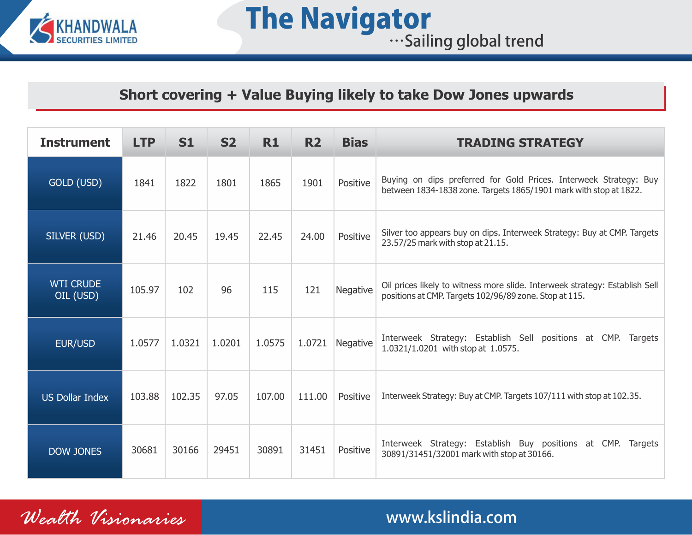

## **Short covering + Value Buying likely to take Dow Jones upwards**

| <b>Instrument</b>             | <b>LTP</b> | <b>S1</b> | <b>S2</b> | <b>R1</b> | <b>R2</b> | <b>Bias</b> | <b>TRADING STRATEGY</b>                                                                                                                |
|-------------------------------|------------|-----------|-----------|-----------|-----------|-------------|----------------------------------------------------------------------------------------------------------------------------------------|
| GOLD (USD)                    | 1841       | 1822      | 1801      | 1865      | 1901      | Positive    | Buying on dips preferred for Gold Prices. Interweek Strategy: Buy<br>between 1834-1838 zone. Targets 1865/1901 mark with stop at 1822. |
| SILVER (USD)                  | 21.46      | 20.45     | 19.45     | 22.45     | 24.00     | Positive    | Silver too appears buy on dips. Interweek Strategy: Buy at CMP. Targets<br>23.57/25 mark with stop at 21.15.                           |
| <b>WTI CRUDE</b><br>OIL (USD) | 105.97     | 102       | 96        | 115       | 121       | Negative    | Oil prices likely to witness more slide. Interweek strategy: Establish Sell<br>positions at CMP. Targets 102/96/89 zone. Stop at 115.  |
| EUR/USD                       | 1.0577     | 1.0321    | 1.0201    | 1.0575    | 1.0721    | Negative    | Interweek Strategy: Establish Sell positions at CMP. Targets<br>1.0321/1.0201 with stop at 1.0575.                                     |
| <b>US Dollar Index</b>        | 103.88     | 102.35    | 97.05     | 107.00    | 111.00    | Positive    | Interweek Strategy: Buy at CMP. Targets 107/111 with stop at 102.35.                                                                   |
| <b>DOW JONES</b>              | 30681      | 30166     | 29451     | 30891     | 31451     | Positive    | Interweek Strategy: Establish Buy positions at CMP. Targets<br>30891/31451/32001 mark with stop at 30166.                              |

*Wealth Visionaries* www.kslindia.com